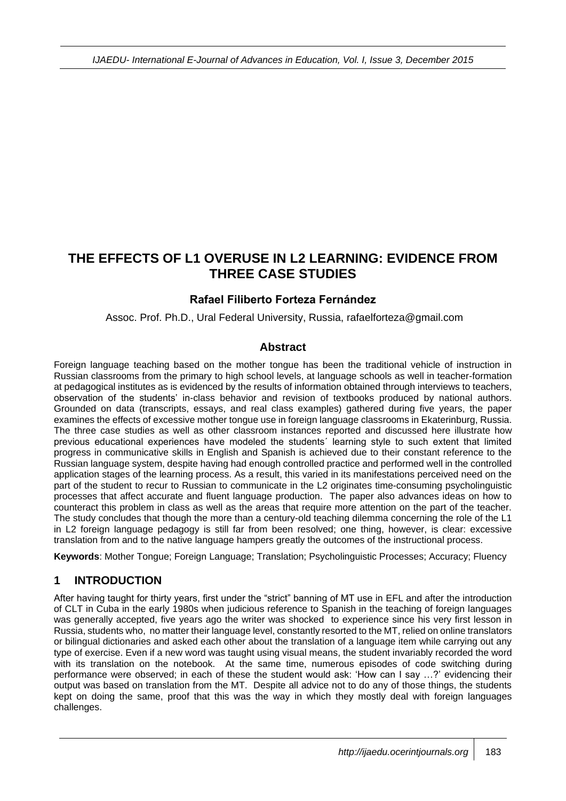# **THE EFFECTS OF L1 OVERUSE IN L2 LEARNING: EVIDENCE FROM THREE CASE STUDIES**

## **Rafael Filiberto Forteza Fernández**

Assoc. Prof. Ph.D., Ural Federal University, Russia, rafaelforteza@gmail.com

### **Abstract**

Foreign language teaching based on the mother tongue has been the traditional vehicle of instruction in Russian classrooms from the primary to high school levels, at language schools as well in teacher-formation at pedagogical institutes as is evidenced by the results of information obtained through interviews to teachers, observation of the students' in-class behavior and revision of textbooks produced by national authors. Grounded on data (transcripts, essays, and real class examples) gathered during five years, the paper examines the effects of excessive mother tongue use in foreign language classrooms in Ekaterinburg, Russia. The three case studies as well as other classroom instances reported and discussed here illustrate how previous educational experiences have modeled the students´ learning style to such extent that limited progress in communicative skills in English and Spanish is achieved due to their constant reference to the Russian language system, despite having had enough controlled practice and performed well in the controlled application stages of the learning process. As a result, this varied in its manifestations perceived need on the part of the student to recur to Russian to communicate in the L2 originates time-consuming psycholinguistic processes that affect accurate and fluent language production. The paper also advances ideas on how to counteract this problem in class as well as the areas that require more attention on the part of the teacher. The study concludes that though the more than a century-old teaching dilemma concerning the role of the L1 in L2 foreign language pedagogy is still far from been resolved; one thing, however, is clear: excessive translation from and to the native language hampers greatly the outcomes of the instructional process.

**Keywords**: Mother Tongue; Foreign Language; Translation; Psycholinguistic Processes; Accuracy; Fluency

## **1 INTRODUCTION**

After having taught for thirty years, first under the "strict" banning of MT use in EFL and after the introduction of CLT in Cuba in the early 1980s when judicious reference to Spanish in the teaching of foreign languages was generally accepted, five years ago the writer was shocked to experience since his very first lesson in Russia, students who, no matter their language level, constantly resorted to the MT, relied on online translators or bilingual dictionaries and asked each other about the translation of a language item while carrying out any type of exercise. Even if a new word was taught using visual means, the student invariably recorded the word with its translation on the notebook. At the same time, numerous episodes of code switching during performance were observed; in each of these the student would ask: 'How can I say …?' evidencing their output was based on translation from the MT. Despite all advice not to do any of those things, the students kept on doing the same, proof that this was the way in which they mostly deal with foreign languages challenges.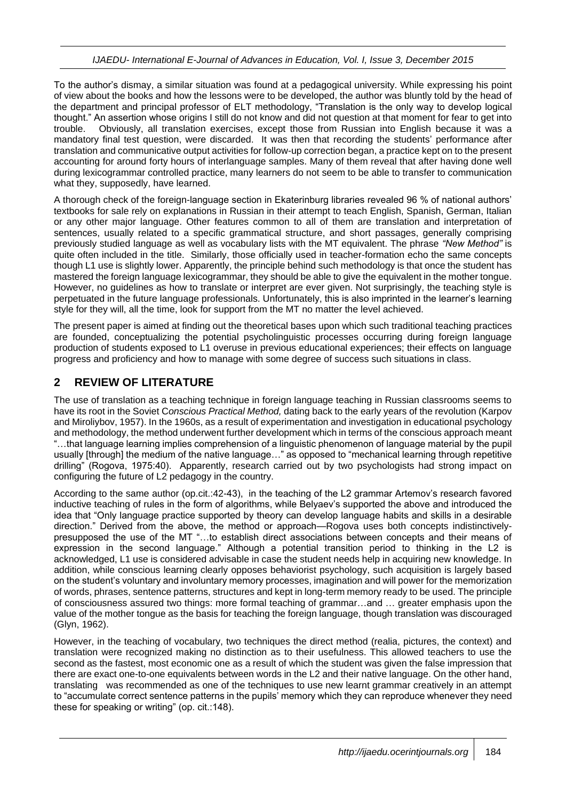To the author's dismay, a similar situation was found at a pedagogical university. While expressing his point of view about the books and how the lessons were to be developed, the author was bluntly told by the head of the department and principal professor of ELT methodology, "Translation is the only way to develop logical thought." An assertion whose origins I still do not know and did not question at that moment for fear to get into trouble. Obviously, all translation exercises, except those from Russian into English because it was a mandatory final test question, were discarded. It was then that recording the students' performance after translation and communicative output activities for follow-up correction began, a practice kept on to the present accounting for around forty hours of interlanguage samples. Many of them reveal that after having done well during lexicogrammar controlled practice, many learners do not seem to be able to transfer to communication what they, supposedly, have learned.

A thorough check of the foreign-language section in Ekaterinburg libraries revealed 96 % of national authors' textbooks for sale rely on explanations in Russian in their attempt to teach English, Spanish, German, Italian or any other major language. Other features common to all of them are translation and interpretation of sentences, usually related to a specific grammatical structure, and short passages, generally comprising previously studied language as well as vocabulary lists with the MT equivalent. The phrase *"New Method"* is quite often included in the title. Similarly, those officially used in teacher-formation echo the same concepts though L1 use is slightly lower. Apparently, the principle behind such methodology is that once the student has mastered the foreign language lexicogrammar, they should be able to give the equivalent in the mother tongue. However, no guidelines as how to translate or interpret are ever given. Not surprisingly, the teaching style is perpetuated in the future language professionals. Unfortunately, this is also imprinted in the learner's learning style for they will, all the time, look for support from the MT no matter the level achieved.

The present paper is aimed at finding out the theoretical bases upon which such traditional teaching practices are founded, conceptualizing the potential psycholinguistic processes occurring during foreign language production of students exposed to L1 overuse in previous educational experiences; their effects on language progress and proficiency and how to manage with some degree of success such situations in class.

## **2 REVIEW OF LITERATURE**

The use of translation as a teaching technique in foreign language teaching in Russian classrooms seems to have its root in the Soviet C*onscious Practical Method,* dating back to the early years of the revolution (Karpov and Miroliybov, 1957). In the 1960s, as a result of experimentation and investigation in educational psychology and methodology, the method underwent further development which in terms of the conscious approach meant "…that language learning implies comprehension of a linguistic phenomenon of language material by the pupil usually [through] the medium of the native language…" as opposed to "mechanical learning through repetitive drilling" (Rogova, 1975:40). Apparently, research carried out by two psychologists had strong impact on configuring the future of L2 pedagogy in the country.

According to the same author (op.cit.:42-43), in the teaching of the L2 grammar Artemov's research favored inductive teaching of rules in the form of algorithms, while Belyaev's supported the above and introduced the idea that "Only language practice supported by theory can develop language habits and skills in a desirable direction." Derived from the above, the method or approach—Rogova uses both concepts indistinctivelypresupposed the use of the MT "…to establish direct associations between concepts and their means of expression in the second language." Although a potential transition period to thinking in the L2 is acknowledged, L1 use is considered advisable in case the student needs help in acquiring new knowledge. In addition, while conscious learning clearly opposes behaviorist psychology, such acquisition is largely based on the student's voluntary and involuntary memory processes, imagination and will power for the memorization of words, phrases, sentence patterns, structures and kept in long-term memory ready to be used. The principle of consciousness assured two things: more formal teaching of grammar…and … greater emphasis upon the value of the mother tongue as the basis for teaching the foreign language, though translation was discouraged (Glyn, 1962).

However, in the teaching of vocabulary, two techniques the direct method (realia, pictures, the context) and translation were recognized making no distinction as to their usefulness. This allowed teachers to use the second as the fastest, most economic one as a result of which the student was given the false impression that there are exact one-to-one equivalents between words in the L2 and their native language. On the other hand, translating was recommended as one of the techniques to use new learnt grammar creatively in an attempt to "accumulate correct sentence patterns in the pupils' memory which they can reproduce whenever they need these for speaking or writing" (op. cit.:148).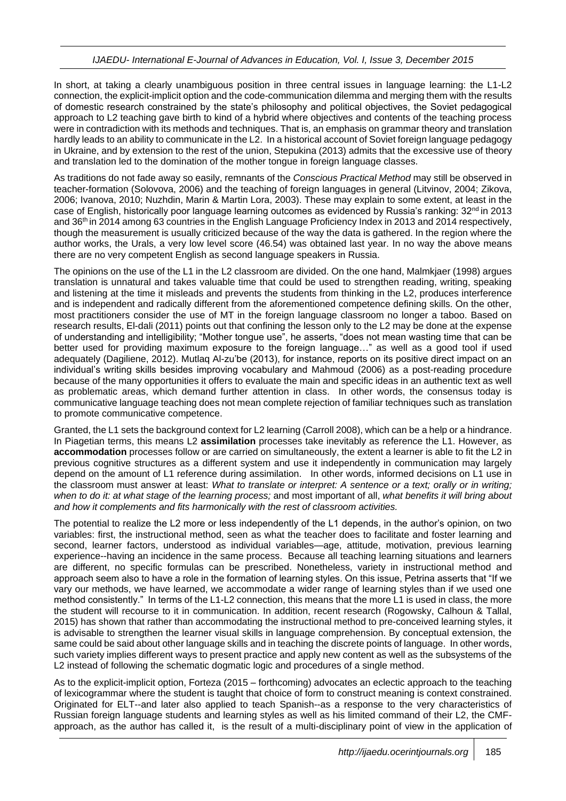In short, at taking a clearly unambiguous position in three central issues in language learning: the L1-L2 connection, the explicit-implicit option and the code-communication dilemma and merging them with the results of domestic research constrained by the state's philosophy and political objectives, the Soviet pedagogical approach to L2 teaching gave birth to kind of a hybrid where objectives and contents of the teaching process were in contradiction with its methods and techniques. That is, an emphasis on grammar theory and translation hardly leads to an ability to communicate in the L2. In a historical account of Soviet foreign language pedagogy in Ukraine, and by extension to the rest of the union, Stepukina (2013) admits that the excessive use of theory and translation led to the domination of the mother tongue in foreign language classes.

As traditions do not fade away so easily, remnants of the *Conscious Practical Method* may still be observed in teacher-formation (Solovova, 2006) and the teaching of foreign languages in general (Litvinov, 2004; Zikova, 2006; Ivanova, 2010; Nuzhdin, Marin & Martin Lora, 2003). These may explain to some extent, at least in the case of English, historically poor language learning outcomes as evidenced by Russia's ranking:  $32<sup>nd</sup>$  in 2013 and 36th in 2014 among 63 countries in the English Language Proficiency Index in 2013 and 2014 respectively, though the measurement is usually criticized because of the way the data is gathered. In the region where the author works, the Urals, a very low level score (46.54) was obtained last year. In no way the above means there are no very competent English as second language speakers in Russia.

The opinions on the use of the L1 in the L2 classroom are divided. On the one hand, Malmkjaer (1998) argues translation is unnatural and takes valuable time that could be used to strengthen reading, writing, speaking and listening at the time it misleads and prevents the students from thinking in the L2, produces interference and is independent and radically different from the aforementioned competence defining skills. On the other, most practitioners consider the use of MT in the foreign language classroom no longer a taboo. Based on research results, El-dali (2011) points out that confining the lesson only to the L2 may be done at the expense of understanding and intelligibility; "Mother tongue use", he asserts, "does not mean wasting time that can be better used for providing maximum exposure to the foreign language…" as well as a good tool if used adequately (Dagiliene, 2012). Mutlaq Al-zu'be (2013), for instance, reports on its positive direct impact on an individual's writing skills besides improving vocabulary and Mahmoud (2006) as a post-reading procedure because of the many opportunities it offers to evaluate the main and specific ideas in an authentic text as well as problematic areas, which demand further attention in class. In other words, the consensus today is communicative language teaching does not mean complete rejection of familiar techniques such as translation to promote communicative competence.

Granted, the L1 sets the background context for L2 learning (Carroll 2008), which can be a help or a hindrance. In Piagetian terms, this means L2 **assimilation** processes take inevitably as reference the L1. However, as **accommodation** processes follow or are carried on simultaneously, the extent a learner is able to fit the L2 in previous cognitive structures as a different system and use it independently in communication may largely depend on the amount of L1 reference during assimilation. In other words, informed decisions on L1 use in the classroom must answer at least: *What to translate or interpret: A sentence or a text; orally or in writing; when to do it: at what stage of the learning process;* and most important of all, *what benefits it will bring about and how it complements and fits harmonically with the rest of classroom activities.* 

The potential to realize the L2 more or less independently of the L1 depends, in the author's opinion, on two variables: first, the instructional method, seen as what the teacher does to facilitate and foster learning and second, learner factors, understood as individual variables—age, attitude, motivation, previous learning experience--having an incidence in the same process. Because all teaching learning situations and learners are different, no specific formulas can be prescribed. Nonetheless, variety in instructional method and approach seem also to have a role in the formation of learning styles. On this issue, Petrina asserts that "If we vary our methods, we have learned, we accommodate a wider range of learning styles than if we used one method consistently." In terms of the L1-L2 connection, this means that the more L1 is used in class, the more the student will recourse to it in communication. In addition, recent research (Rogowsky, Calhoun & Tallal, 2015) has shown that rather than accommodating the instructional method to pre-conceived learning styles, it is advisable to strengthen the learner visual skills in language comprehension. By conceptual extension, the same could be said about other language skills and in teaching the discrete points of language. In other words, such variety implies different ways to present practice and apply new content as well as the subsystems of the L2 instead of following the schematic dogmatic logic and procedures of a single method.

As to the explicit-implicit option, Forteza (2015 – forthcoming) advocates an eclectic approach to the teaching of lexicogrammar where the student is taught that choice of form to construct meaning is context constrained. Originated for ELT--and later also applied to teach Spanish--as a response to the very characteristics of Russian foreign language students and learning styles as well as his limited command of their L2, the CMFapproach, as the author has called it, is the result of a multi-disciplinary point of view in the application of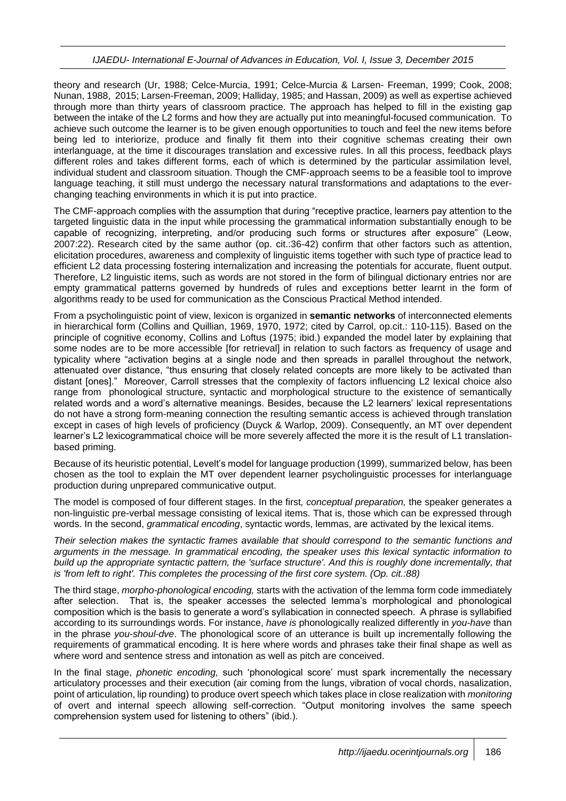theory and research (Ur, 1988; Celce-Murcia, 1991; Celce-Murcia & Larsen- Freeman, 1999; Cook, 2008; Nunan, 1988, 2015; Larsen-Freeman, 2009; Halliday, 1985; and Hassan, 2009) as well as expertise achieved through more than thirty years of classroom practice. The approach has helped to fill in the existing gap between the intake of the L2 forms and how they are actually put into meaningful-focused communication. To achieve such outcome the learner is to be given enough opportunities to touch and feel the new items before being led to interiorize, produce and finally fit them into their cognitive schemas creating their own interlanguage, at the time it discourages translation and excessive rules. In all this process, feedback plays different roles and takes different forms, each of which is determined by the particular assimilation level, individual student and classroom situation. Though the CMF-approach seems to be a feasible tool to improve language teaching, it still must undergo the necessary natural transformations and adaptations to the everchanging teaching environments in which it is put into practice.

The CMF-approach complies with the assumption that during "receptive practice, learners pay attention to the targeted linguistic data in the input while processing the grammatical information substantially enough to be capable of recognizing, interpreting, and/or producing such forms or structures after exposure" (Leow, 2007:22). Research cited by the same author (op. cit.:36-42) confirm that other factors such as attention, elicitation procedures, awareness and complexity of linguistic items together with such type of practice lead to efficient L2 data processing fostering internalization and increasing the potentials for accurate, fluent output. Therefore, L2 linguistic items, such as words are not stored in the form of bilingual dictionary entries nor are empty grammatical patterns governed by hundreds of rules and exceptions better learnt in the form of algorithms ready to be used for communication as the Conscious Practical Method intended.

From a psycholinguistic point of view, lexicon is organized in **semantic networks** of interconnected elements in hierarchical form (Collins and Quillian, 1969, 1970, 1972; cited by Carrol, op.cit.: 110-115). Based on the principle of cognitive economy, Collins and Loftus (1975; ibid.) expanded the model later by explaining that some nodes are to be more accessible [for retrieval] in relation to such factors as frequency of usage and typicality where "activation begins at a single node and then spreads in parallel throughout the network, attenuated over distance, "thus ensuring that closely related concepts are more likely to be activated than distant [ones]." Moreover, Carroll stresses that the complexity of factors influencing L2 lexical choice also range from phonological structure, syntactic and morphological structure to the existence of semantically related words and a word's alternative meanings. Besides, because the L2 learners' lexical representations do not have a strong form-meaning connection the resulting semantic access is achieved through translation except in cases of high levels of proficiency (Duyck & Warlop, 2009). Consequently, an MT over dependent learner's L2 lexicogrammatical choice will be more severely affected the more it is the result of L1 translationbased priming.

Because of its heuristic potential, Levelt's model for language production (1999), summarized below, has been chosen as the tool to explain the MT over dependent learner psycholinguistic processes for interlanguage production during unprepared communicative output.

The model is composed of four different stages. In the first*, conceptual preparation,* the speaker generates a non-linguistic pre-verbal message consisting of lexical items. That is, those which can be expressed through words. In the second, *grammatical encoding*, syntactic words, lemmas, are activated by the lexical items.

*Their selection makes the syntactic frames available that should correspond to the semantic functions and arguments in the message. In grammatical encoding, the speaker uses this lexical syntactic information to build up the appropriate syntactic pattern, the 'surface structure'. And this is roughly done incrementally, that is 'from left to right'. This completes the processing of the first core system. (Op. cit.:88)*

The third stage, *morpho-phonological encoding,* starts with the activation of the lemma form code immediately after selection. That is, the speaker accesses the selected lemma's morphological and phonological composition which is the basis to generate a word's syllabication in connected speech. A phrase is syllabified according to its surroundings words. For instance, *have is* phonologically realized differently in *you-have* than in the phrase *you-shoul-dve*. The phonological score of an utterance is built up incrementally following the requirements of grammatical encoding. It is here where words and phrases take their final shape as well as where word and sentence stress and intonation as well as pitch are conceived.

In the final stage, *phonetic encoding,* such 'phonological score' must spark incrementally the necessary articulatory processes and their execution (air coming from the lungs, vibration of vocal chords, nasalization, point of articulation, lip rounding) to produce overt speech which takes place in close realization with *monitoring* of overt and internal speech allowing self-correction. "Output monitoring involves the same speech comprehension system used for listening to others" (ibid.).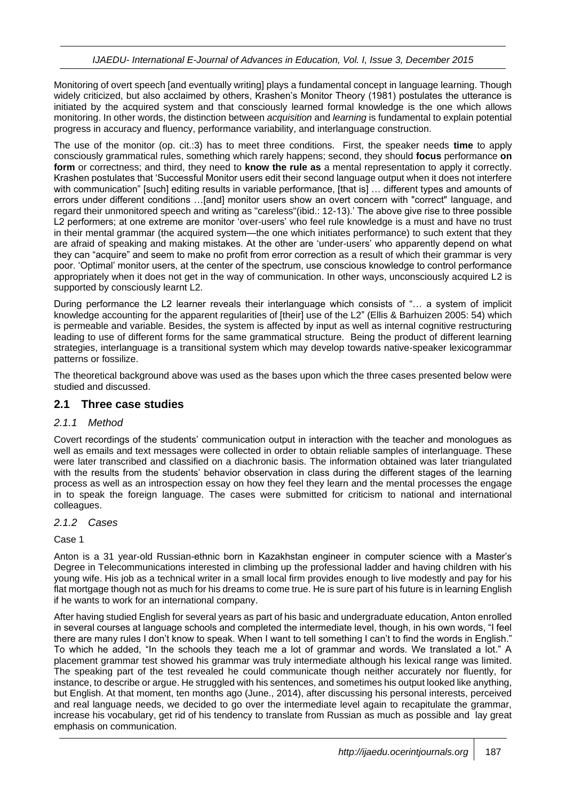Monitoring of overt speech [and eventually writing] plays a fundamental concept in language learning. Though widely criticized, but also acclaimed by others, Krashen's Monitor Theory (1981) postulates the utterance is initiated by the acquired system and that consciously learned formal knowledge is the one which allows monitoring. In other words, the distinction between *acquisition* and *learning* is fundamental to explain potential progress in accuracy and fluency, performance variability, and interlanguage construction.

The use of the monitor (op. cit.:3) has to meet three conditions. First, the speaker needs **time** to apply consciously grammatical rules, something which rarely happens; second, they should **focus** performance **on form** or correctness; and third, they need to **know the rule as** a mental representation to apply it correctly. Krashen postulates that 'Successful Monitor users edit their second language output when it does not interfere with communication" [such] editing results in variable performance, [that is] ... different types and amounts of errors under different conditions …[and] monitor users show an overt concern with "correct" language, and regard their unmonitored speech and writing as "careless"(ibid.: 12-13).' The above give rise to three possible L2 performers; at one extreme are monitor 'over-users' who feel rule knowledge is a must and have no trust in their mental grammar (the acquired system—the one which initiates performance) to such extent that they are afraid of speaking and making mistakes. At the other are 'under-users' who apparently depend on what they can "acquire" and seem to make no profit from error correction as a result of which their grammar is very poor. 'Optimal' monitor users, at the center of the spectrum, use conscious knowledge to control performance appropriately when it does not get in the way of communication. In other ways, unconsciously acquired L2 is supported by consciously learnt L2.

During performance the L2 learner reveals their interlanguage which consists of "… a system of implicit knowledge accounting for the apparent regularities of [their] use of the L2" (Ellis & Barhuizen 2005: 54) which is permeable and variable. Besides, the system is affected by input as well as internal cognitive restructuring leading to use of different forms for the same grammatical structure. Being the product of different learning strategies, interlanguage is a transitional system which may develop towards native-speaker lexicogrammar patterns or fossilize.

The theoretical background above was used as the bases upon which the three cases presented below were studied and discussed.

#### **2.1 Three case studies**

#### *2.1.1 Method*

Covert recordings of the students' communication output in interaction with the teacher and monologues as well as emails and text messages were collected in order to obtain reliable samples of interlanguage. These were later transcribed and classified on a diachronic basis. The information obtained was later triangulated with the results from the students' behavior observation in class during the different stages of the learning process as well as an introspection essay on how they feel they learn and the mental processes the engage in to speak the foreign language. The cases were submitted for criticism to national and international colleagues.

#### *2.1.2 Cases*

Case 1

Anton is a 31 year-old Russian-ethnic born in Kazakhstan engineer in computer science with a Master's Degree in Telecommunications interested in climbing up the professional ladder and having children with his young wife. His job as a technical writer in a small local firm provides enough to live modestly and pay for his flat mortgage though not as much for his dreams to come true. He is sure part of his future is in learning English if he wants to work for an international company.

After having studied English for several years as part of his basic and undergraduate education, Anton enrolled in several courses at language schools and completed the intermediate level, though, in his own words, "I feel there are many rules I don't know to speak. When I want to tell something I can't to find the words in English." To which he added, "In the schools they teach me a lot of grammar and words. We translated a lot." A placement grammar test showed his grammar was truly intermediate although his lexical range was limited. The speaking part of the test revealed he could communicate though neither accurately nor fluently, for instance, to describe or argue. He struggled with his sentences, and sometimes his output looked like anything, but English. At that moment, ten months ago (June., 2014), after discussing his personal interests, perceived and real language needs, we decided to go over the intermediate level again to recapitulate the grammar, increase his vocabulary, get rid of his tendency to translate from Russian as much as possible and lay great emphasis on communication.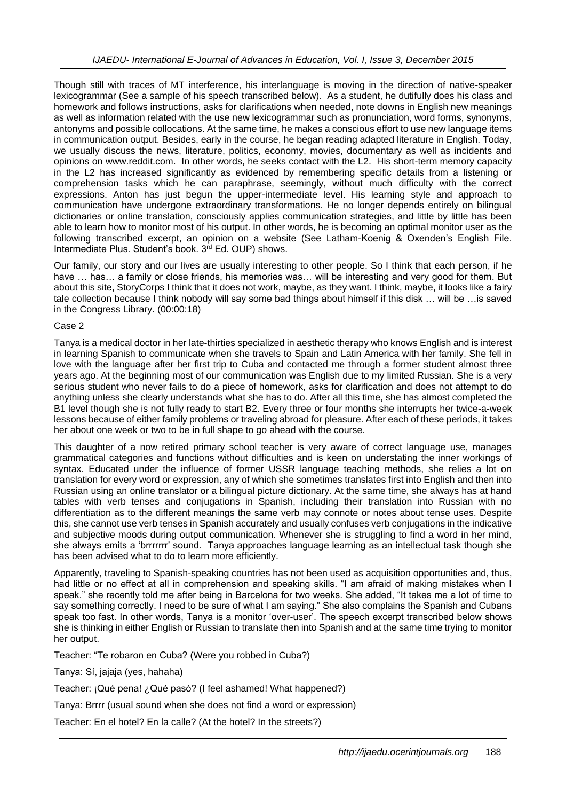Though still with traces of MT interference, his interlanguage is moving in the direction of native-speaker lexicogrammar (See a sample of his speech transcribed below). As a student, he dutifully does his class and homework and follows instructions, asks for clarifications when needed, note downs in English new meanings as well as information related with the use new lexicogrammar such as pronunciation, word forms, synonyms, antonyms and possible collocations. At the same time, he makes a conscious effort to use new language items in communication output. Besides, early in the course, he began reading adapted literature in English. Today, we usually discuss the news, literature, politics, economy, movies, documentary as well as incidents and opinions on www.reddit.com. In other words, he seeks contact with the L2. His short-term memory capacity in the L2 has increased significantly as evidenced by remembering specific details from a listening or comprehension tasks which he can paraphrase, seemingly, without much difficulty with the correct expressions. Anton has just begun the upper-intermediate level. His learning style and approach to communication have undergone extraordinary transformations. He no longer depends entirely on bilingual dictionaries or online translation, consciously applies communication strategies, and little by little has been able to learn how to monitor most of his output. In other words, he is becoming an optimal monitor user as the following transcribed excerpt, an opinion on a website (See Latham-Koenig & Oxenden's English File. Intermediate Plus. Student's book. 3<sup>rd</sup> Ed. OUP) shows.

Our family, our story and our lives are usually interesting to other people. So I think that each person, if he have ... has... a family or close friends, his memories was... will be interesting and very good for them. But about this site, StoryCorps I think that it does not work, maybe, as they want. I think, maybe, it looks like a fairy tale collection because I think nobody will say some bad things about himself if this disk … will be …is saved in the Congress Library. (00:00:18)

#### Case 2

Tanya is a medical doctor in her late-thirties specialized in aesthetic therapy who knows English and is interest in learning Spanish to communicate when she travels to Spain and Latin America with her family. She fell in love with the language after her first trip to Cuba and contacted me through a former student almost three years ago. At the beginning most of our communication was English due to my limited Russian. She is a very serious student who never fails to do a piece of homework, asks for clarification and does not attempt to do anything unless she clearly understands what she has to do. After all this time, she has almost completed the B1 level though she is not fully ready to start B2. Every three or four months she interrupts her twice-a-week lessons because of either family problems or traveling abroad for pleasure. After each of these periods, it takes her about one week or two to be in full shape to go ahead with the course.

This daughter of a now retired primary school teacher is very aware of correct language use, manages grammatical categories and functions without difficulties and is keen on understating the inner workings of syntax. Educated under the influence of former USSR language teaching methods, she relies a lot on translation for every word or expression, any of which she sometimes translates first into English and then into Russian using an online translator or a bilingual picture dictionary. At the same time, she always has at hand tables with verb tenses and conjugations in Spanish, including their translation into Russian with no differentiation as to the different meanings the same verb may connote or notes about tense uses. Despite this, she cannot use verb tenses in Spanish accurately and usually confuses verb conjugations in the indicative and subjective moods during output communication. Whenever she is struggling to find a word in her mind, she always emits a 'brrrrrrr' sound. Tanya approaches language learning as an intellectual task though she has been advised what to do to learn more efficiently.

Apparently, traveling to Spanish-speaking countries has not been used as acquisition opportunities and, thus, had little or no effect at all in comprehension and speaking skills. "I am afraid of making mistakes when I speak." she recently told me after being in Barcelona for two weeks. She added, "It takes me a lot of time to say something correctly. I need to be sure of what I am saying." She also complains the Spanish and Cubans speak too fast. In other words, Tanya is a monitor 'over-user'. The speech excerpt transcribed below shows she is thinking in either English or Russian to translate then into Spanish and at the same time trying to monitor her output.

Teacher: "Te robaron en Cuba? (Were you robbed in Cuba?)

Tanya: Sí, jajaja (yes, hahaha)

Teacher: ¡Qué pena! ¿Qué pasó? (I feel ashamed! What happened?)

Tanya: Brrrr (usual sound when she does not find a word or expression)

Teacher: En el hotel? En la calle? (At the hotel? In the streets?)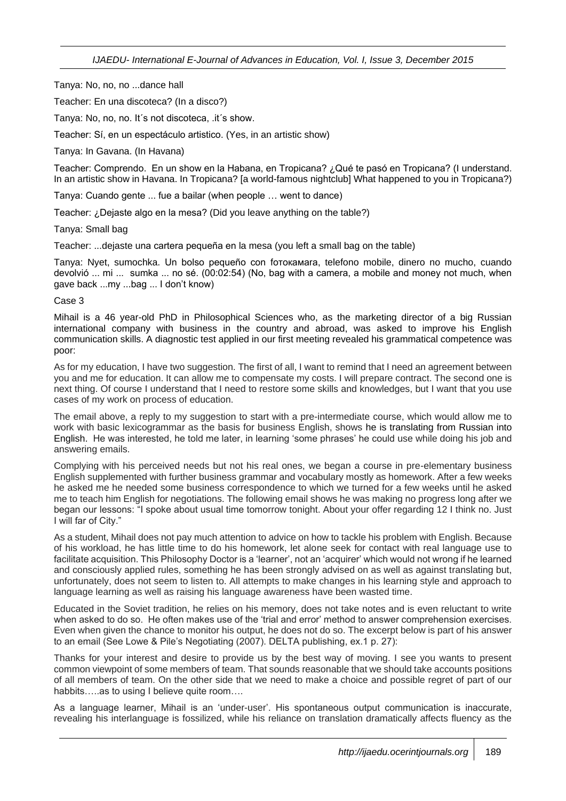Tanya: No, no, no ...dance hall

Teacher: En una discoteca? (In a disco?)

Tanya: No, no, no. It´s not discoteca, .it´s show.

Teacher: Sí, en un espectáculo artistico. (Yes, in an artistic show)

Tanya: In Gavana. (In Havana)

Teacher: Comprendo. En un show en la Habana, en Tropicana? ¿Qué te pasó en Tropicana? (I understand. In an artistic show in Havana. In Tropicana? [a world-famous nightclub] What happened to you in Tropicana?)

Tanya: Cuando gente ... fue a bailar (when people … went to dance)

Teacher: ¿Dejaste algo en la mesa? (Did you leave anything on the table?)

Tanya: Small bag

Teacher: ...dejaste una cartera pequeña en la mesa (you left a small bag on the table)

Tanya: Nyet, sumochka. Un bolso pequeño con fотокамаrа, telefono mobile, dinero no mucho, cuando devolvió ... mi ... sumka ... no sé. (00:02:54) (No, bag with a camera, a mobile and money not much, when gave back ...my ...bag ... I don't know)

#### Case 3

Mihail is a 46 year-old PhD in Philosophical Sciences who, as the marketing director of a big Russian international company with business in the country and abroad, was asked to improve his English communication skills. A diagnostic test applied in our first meeting revealed his grammatical competence was poor:

As for my education, I have two suggestion. The first of all, I want to remind that I need an agreement between you and me for education. It can allow me to compensate my costs. I will prepare contract. The second one is next thing. Of course I understand that I need to restore some skills and knowledges, but I want that you use cases of my work on process of education.

The email above, a reply to my suggestion to start with a pre-intermediate course, which would allow me to work with basic lexicogrammar as the basis for business English, shows he is translating from Russian into English. He was interested, he told me later, in learning 'some phrases' he could use while doing his job and answering emails.

Complying with his perceived needs but not his real ones, we began a course in pre-elementary business English supplemented with further business grammar and vocabulary mostly as homework. After a few weeks he asked me he needed some business correspondence to which we turned for a few weeks until he asked me to teach him English for negotiations. The following email shows he was making no progress long after we began our lessons: "I spoke about usual time tomorrow tonight. About your offer regarding 12 I think no. Just I will far of City."

As a student, Mihail does not pay much attention to advice on how to tackle his problem with English. Because of his workload, he has little time to do his homework, let alone seek for contact with real language use to facilitate acquisition. This Philosophy Doctor is a 'learner', not an 'acquirer' which would not wrong if he learned and consciously applied rules, something he has been strongly advised on as well as against translating but, unfortunately, does not seem to listen to. All attempts to make changes in his learning style and approach to language learning as well as raising his language awareness have been wasted time.

Educated in the Soviet tradition, he relies on his memory, does not take notes and is even reluctant to write when asked to do so. He often makes use of the 'trial and error' method to answer comprehension exercises. Even when given the chance to monitor his output, he does not do so. The excerpt below is part of his answer to an email (See Lowe & Pile's Negotiating (2007). DELTA publishing, ex.1 p. 27):

Thanks for your interest and desire to provide us by the best way of moving. I see you wants to present common viewpoint of some members of team. That sounds reasonable that we should take accounts positions of all members of team. On the other side that we need to make a choice and possible regret of part of our habbits…..as to using I believe quite room….

As a language learner, Mihail is an 'under-user'. His spontaneous output communication is inaccurate, revealing his interlanguage is fossilized, while his reliance on translation dramatically affects fluency as the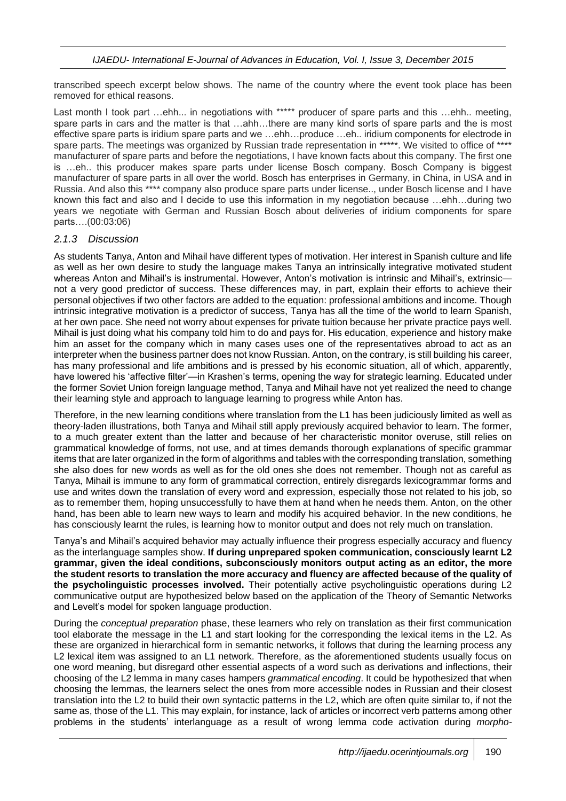transcribed speech excerpt below shows. The name of the country where the event took place has been removed for ethical reasons.

Last month I took part …ehh... in negotiations with \*\*\*\*\* producer of spare parts and this …ehh.. meeting, spare parts in cars and the matter is that …ahh…there are many kind sorts of spare parts and the is most effective spare parts is iridium spare parts and we …ehh…produce …eh.. iridium components for electrode in spare parts. The meetings was organized by Russian trade representation in \*\*\*\*\*. We visited to office of \*\*\*\* manufacturer of spare parts and before the negotiations, I have known facts about this company. The first one is …eh.. this producer makes spare parts under license Bosch company. Bosch Company is biggest manufacturer of spare parts in all over the world. Bosch has enterprises in Germany, in China, in USA and in Russia. And also this \*\*\*\* company also produce spare parts under license.., under Bosch license and I have known this fact and also and I decide to use this information in my negotiation because …ehh…during two years we negotiate with German and Russian Bosch about deliveries of iridium components for spare parts….(00:03:06)

#### *2.1.3 Discussion*

As students Tanya, Anton and Mihail have different types of motivation. Her interest in Spanish culture and life as well as her own desire to study the language makes Tanya an intrinsically integrative motivated student whereas Anton and Mihail's is instrumental. However, Anton's motivation is intrinsic and Mihail's, extrinsicnot a very good predictor of success. These differences may, in part, explain their efforts to achieve their personal objectives if two other factors are added to the equation: professional ambitions and income. Though intrinsic integrative motivation is a predictor of success, Tanya has all the time of the world to learn Spanish, at her own pace. She need not worry about expenses for private tuition because her private practice pays well. Mihail is just doing what his company told him to do and pays for. His education, experience and history make him an asset for the company which in many cases uses one of the representatives abroad to act as an interpreter when the business partner does not know Russian. Anton, on the contrary, is still building his career, has many professional and life ambitions and is pressed by his economic situation, all of which, apparently, have lowered his 'affective filter'—in Krashen's terms, opening the way for strategic learning. Educated under the former Soviet Union foreign language method, Tanya and Mihail have not yet realized the need to change their learning style and approach to language learning to progress while Anton has.

Therefore, in the new learning conditions where translation from the L1 has been judiciously limited as well as theory-laden illustrations, both Tanya and Mihail still apply previously acquired behavior to learn. The former, to a much greater extent than the latter and because of her characteristic monitor overuse, still relies on grammatical knowledge of forms, not use, and at times demands thorough explanations of specific grammar items that are later organized in the form of algorithms and tables with the corresponding translation, something she also does for new words as well as for the old ones she does not remember. Though not as careful as Tanya, Mihail is immune to any form of grammatical correction, entirely disregards lexicogrammar forms and use and writes down the translation of every word and expression, especially those not related to his job, so as to remember them, hoping unsuccessfully to have them at hand when he needs them. Anton, on the other hand, has been able to learn new ways to learn and modify his acquired behavior. In the new conditions, he has consciously learnt the rules, is learning how to monitor output and does not rely much on translation.

Tanya's and Mihail's acquired behavior may actually influence their progress especially accuracy and fluency as the interlanguage samples show. **If during unprepared spoken communication, consciously learnt L2 grammar, given the ideal conditions, subconsciously monitors output acting as an editor, the more the student resorts to translation the more accuracy and fluency are affected because of the quality of the psycholinguistic processes involved.** Their potentially active psycholinguistic operations during L2 communicative output are hypothesized below based on the application of the Theory of Semantic Networks and Levelt's model for spoken language production.

During the *conceptual preparation* phase, these learners who rely on translation as their first communication tool elaborate the message in the L1 and start looking for the corresponding the lexical items in the L2. As these are organized in hierarchical form in semantic networks, it follows that during the learning process any L2 lexical item was assigned to an L1 network. Therefore, as the aforementioned students usually focus on one word meaning, but disregard other essential aspects of a word such as derivations and inflections, their choosing of the L2 lemma in many cases hampers *grammatical encoding*. It could be hypothesized that when choosing the lemmas, the learners select the ones from more accessible nodes in Russian and their closest translation into the L2 to build their own syntactic patterns in the L2, which are often quite similar to, if not the same as, those of the L1. This may explain, for instance, lack of articles or incorrect verb patterns among other problems in the students' interlanguage as a result of wrong lemma code activation during *morpho-*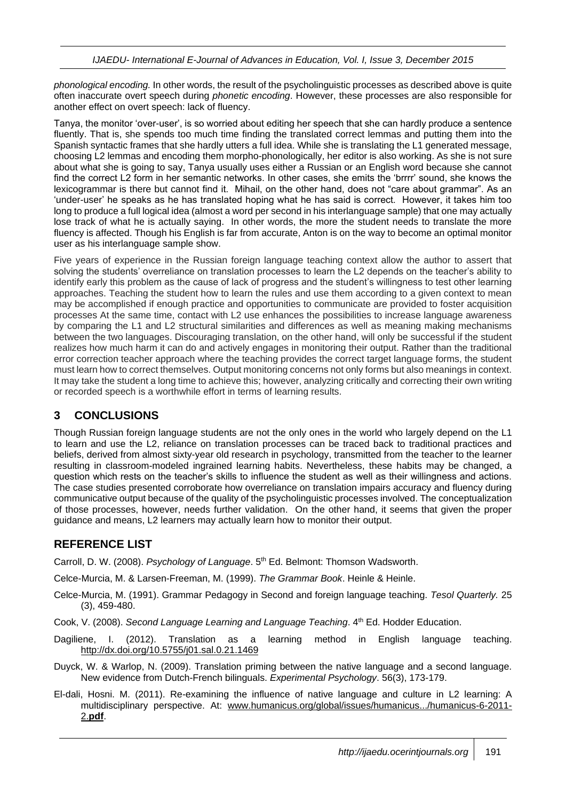*phonological encoding.* In other words, the result of the psycholinguistic processes as described above is quite often inaccurate overt speech during *phonetic encoding*. However, these processes are also responsible for another effect on overt speech: lack of fluency.

Tanya, the monitor 'over-user', is so worried about editing her speech that she can hardly produce a sentence fluently. That is, she spends too much time finding the translated correct lemmas and putting them into the Spanish syntactic frames that she hardly utters a full idea. While she is translating the L1 generated message, choosing L2 lemmas and encoding them morpho-phonologically, her editor is also working. As she is not sure about what she is going to say, Tanya usually uses either a Russian or an English word because she cannot find the correct L2 form in her semantic networks. In other cases, she emits the 'brrrr' sound, she knows the lexicogrammar is there but cannot find it. Mihail, on the other hand, does not "care about grammar". As an 'under-user' he speaks as he has translated hoping what he has said is correct. However, it takes him too long to produce a full logical idea (almost a word per second in his interlanguage sample) that one may actually lose track of what he is actually saying. In other words, the more the student needs to translate the more fluency is affected. Though his English is far from accurate, Anton is on the way to become an optimal monitor user as his interlanguage sample show.

Five years of experience in the Russian foreign language teaching context allow the author to assert that solving the students' overreliance on translation processes to learn the L2 depends on the teacher's ability to identify early this problem as the cause of lack of progress and the student's willingness to test other learning approaches. Teaching the student how to learn the rules and use them according to a given context to mean may be accomplished if enough practice and opportunities to communicate are provided to foster acquisition processes At the same time, contact with L2 use enhances the possibilities to increase language awareness by comparing the L1 and L2 structural similarities and differences as well as meaning making mechanisms between the two languages. Discouraging translation, on the other hand, will only be successful if the student realizes how much harm it can do and actively engages in monitoring their output. Rather than the traditional error correction teacher approach where the teaching provides the correct target language forms, the student must learn how to correct themselves. Output monitoring concerns not only forms but also meanings in context. It may take the student a long time to achieve this; however, analyzing critically and correcting their own writing or recorded speech is a worthwhile effort in terms of learning results.

## **3 CONCLUSIONS**

Though Russian foreign language students are not the only ones in the world who largely depend on the L1 to learn and use the L2, reliance on translation processes can be traced back to traditional practices and beliefs, derived from almost sixty-year old research in psychology, transmitted from the teacher to the learner resulting in classroom-modeled ingrained learning habits. Nevertheless, these habits may be changed, a question which rests on the teacher's skills to influence the student as well as their willingness and actions. The case studies presented corroborate how overreliance on translation impairs accuracy and fluency during communicative output because of the quality of the psycholinguistic processes involved. The conceptualization of those processes, however, needs further validation. On the other hand, it seems that given the proper guidance and means, L2 learners may actually learn how to monitor their output.

## **REFERENCE LIST**

Carroll, D. W. (2008). *Psychology of Language*. 5th Ed. Belmont: Thomson Wadsworth.

Celce-Murcia, M. & Larsen-Freeman, M. (1999). *The Grammar Book*. Heinle & Heinle.

- Celce-Murcia, M. (1991). Grammar Pedagogy in Second and foreign language teaching. *Tesol Quarterly.* 25 (3), 459-480.
- Cook, V. (2008). *Second Language Learning and Language Teaching*. 4<sup>th</sup> Ed. Hodder Education.
- Dagiliene, I. (2012). Translation as a learning method in English language teaching. <http://dx.doi.org/10.5755/j01.sal.0.21.1469>
- Duyck, W. & Warlop, N. (2009). Translation priming between the native language and a second language. New evidence from Dutch-French bilinguals. *Experimental Psychology*. 56(3), 173-179.
- El-dali, Hosni. M. (2011). Re-examining the influence of native language and culture in L2 learning: A multidisciplinary perspective. At: [www.humanicus.org/global/issues/humanicus.../humanicus-6-2011-](http://www.humanicus.org/global/issues/humanicus.../humanicus-6-2011-2.pdf) 2.**[pdf](http://www.humanicus.org/global/issues/humanicus.../humanicus-6-2011-2.pdf)**.